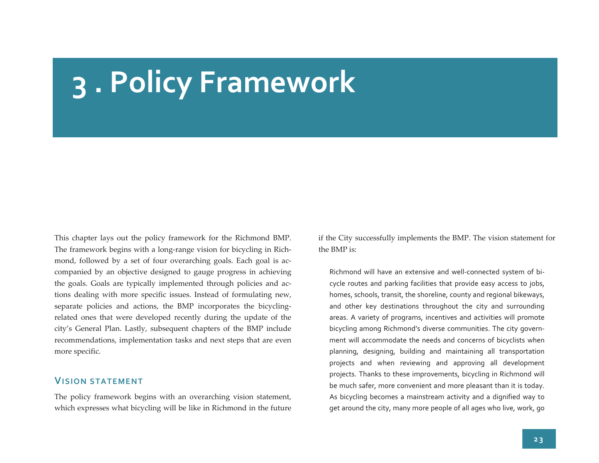## **3 . Policy Framework**

This chapter lays out the policy framework for the Richmond BMP. The framework begins with <sup>a</sup> long‐range vision for bicycling in Rich‐ mond, followed by a set of four overarching goals. Each goal is accompanied by an objective designed to gauge progress in achieving the goals. Goals are typically implemented through policies and ac‐ tions dealing with more specific issues. Instead of formulating new, separate policies and actions, the BMP incorporates the bicyclingrelated ones that were developed recently during the update of the city's General Plan. Lastly, subsequent chapters of the BMP include recommendations, implementation tasks and next steps that are even more specific.

## **VISION STATEMENT**

The policy framework begins with an overarching vision statement, which expresses what bicycling will be like in Richmond in the future if the City successfully implements the BMP. The vision statement for the BMP is:

Richmond will have an extensive and well‐connected system of bi‐ cycle routes and parking facilities that provide easy access to jobs, homes, schools, transit, the shoreline, county and regional bikeways, and other key destinations throughout the city and surrounding areas. A variety of programs, incentives and activities will promote bicycling among Richmond's diverse communities. The city govern‐ ment will accommodate the needs and concerns of bicyclists when planning, designing, building and maintaining all transportation projects and when reviewing and approving all development projects. Thanks to these improvements, bicycling in Richmond will be much safer, more convenient and more pleasant than it is today. As bicycling becomes <sup>a</sup> mainstream activity and <sup>a</sup> dignified way to ge<sup>t</sup> around the city, many more people of all ages who live, work, go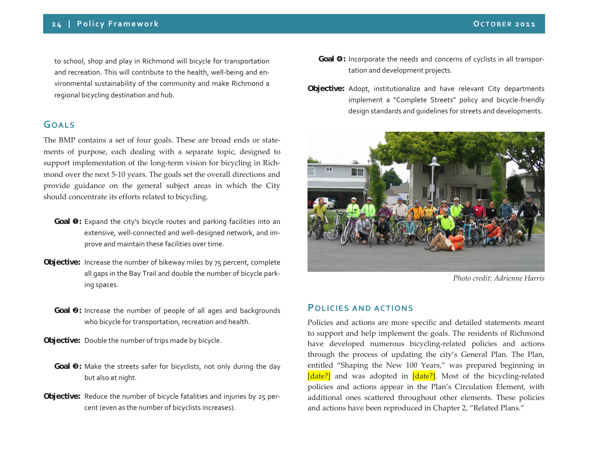to school, shop and play in Richmond will bicycle for transportation and recreation. This will contribute to the health, well‐being and en‐ vironmental sustainability of the community and make Richmond <sup>a</sup> regional bicycling destination and hub.

## **GOALS**

The BMP contains <sup>a</sup> set of four goals. These are broad ends or state‐ ments of purpose, each dealing with <sup>a</sup> separate topic, designed to support implementation of the long-term vision for bicycling in Richmond over the next <sup>5</sup>‐10 years. The goals set the overall directions and provide guidance on the general subject areas in which the City should concentrate its efforts related to bicycling.

- **Goal**  $\bullet$ : Expand the city's bicycle routes and parking facilities into an extensive, well‐connected and well‐designed network, and im‐ prove and maintain these facilities over time.
- **Objective:** Increase the number of bikeway miles by <sup>75</sup> percent, complete all gaps in the Bay Trail and double the number of bicycle park‐ ing spaces.
- **Goal @:** Increase the number of people of all ages and backgrounds who bicycle for transportation, recreation and health.
- **Objective:** Double the number of trips made by bicycle.
- **Goal**  $\bullet$ **:** Make the streets safer for bicyclists, not only during the day but also at night.
- **Objective:** Reduce the number of bicycle fatalities and injuries by 25 per‐ cent (even as the number of bicyclists increases).
- **Goal <sup>o</sup>:** Incorporate the needs and concerns of cyclists in all transportation and development projects.
- **Objective:** Adopt, institutionalize and have relevant City departments implement <sup>a</sup> "Complete Streets" policy and bicycle‐friendly design standards and guidelines for streets and developments.



*Photo credit: Adrienne Harris*

## **POLICIES AND ACTIONS**

Policies and actions are more specific and detailed statements meant to suppor<sup>t</sup> and help implement the goals. The residents of Richmond have developed numerous bicycling‐related policies and actions through the process of updating the city's General Plan. The Plan, entitled "Shaping the New 100 Years," was prepared beginning in [date?] and was adopted in [date?]. Most of the bicycling-related policies and actions appear in the Plan's Circulation Element, with additional ones scattered throughout other elements. These policies and actions have been reproduced in Chapter 2, "Related Plans."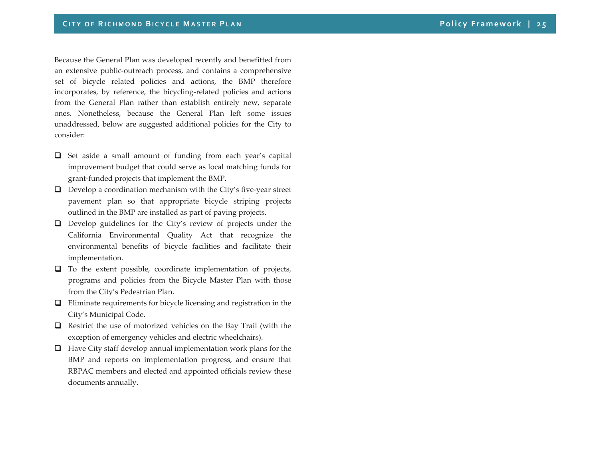Because the General Plan was developed recently and benefitted from an extensive public‐outreach process, and contains <sup>a</sup> comprehensive set of bicycle related policies and actions, the BMP therefore incorporates, by reference, the bicycling‐related policies and actions from the General Plan rather than establish entirely new, separate ones. Nonetheless, because the General Plan left some issues unaddressed, below are suggested additional policies for the City to consider:

- Set aside <sup>a</sup> small amount of funding from each year's capital improvement budget that could serve as local matching funds for grant‐funded projects that implement the BMP.
- Develop a coordination mechanism with the City's five-year street pavemen<sup>t</sup> plan so that appropriate bicycle striping projects outlined in the BMP are installed as par<sup>t</sup> of paving projects.
- **Q** Develop guidelines for the City's review of projects under the California Environmental Quality Act that recognize the environmental benefits of bicycle facilities and facilitate their implementation.
- **T** To the extent possible, coordinate implementation of projects, programs and policies from the Bicycle Master Plan with those from the City's Pedestrian Plan.
- **Q** Eliminate requirements for bicycle licensing and registration in the City's Municipal Code.
- **Q** Restrict the use of motorized vehicles on the Bay Trail (with the exception of emergency vehicles and electric wheelchairs).
- **Have City staff develop annual implementation work plans for the** BMP and reports on implementation progress, and ensure that RBPAC members and elected and appointed officials review these documents annually.